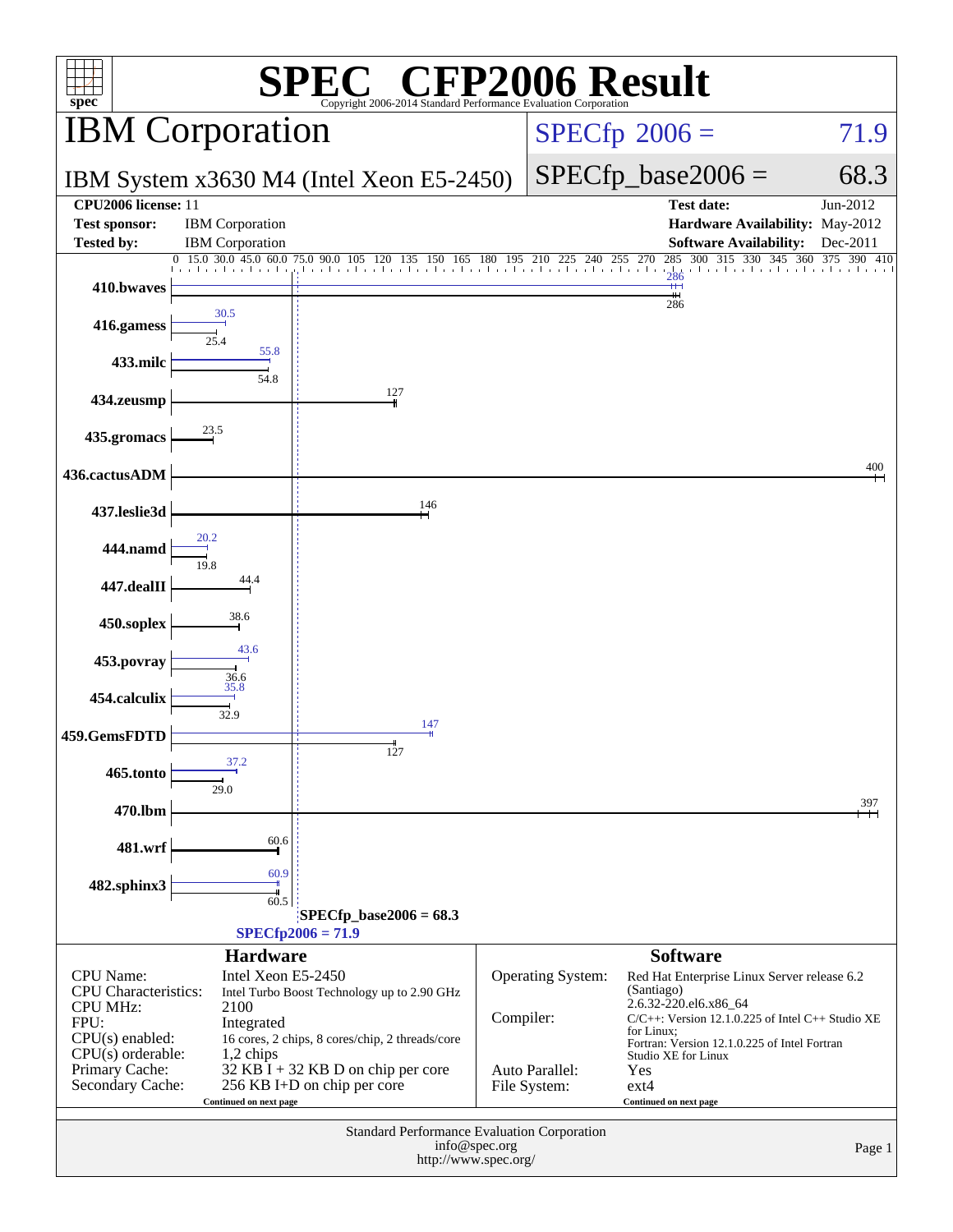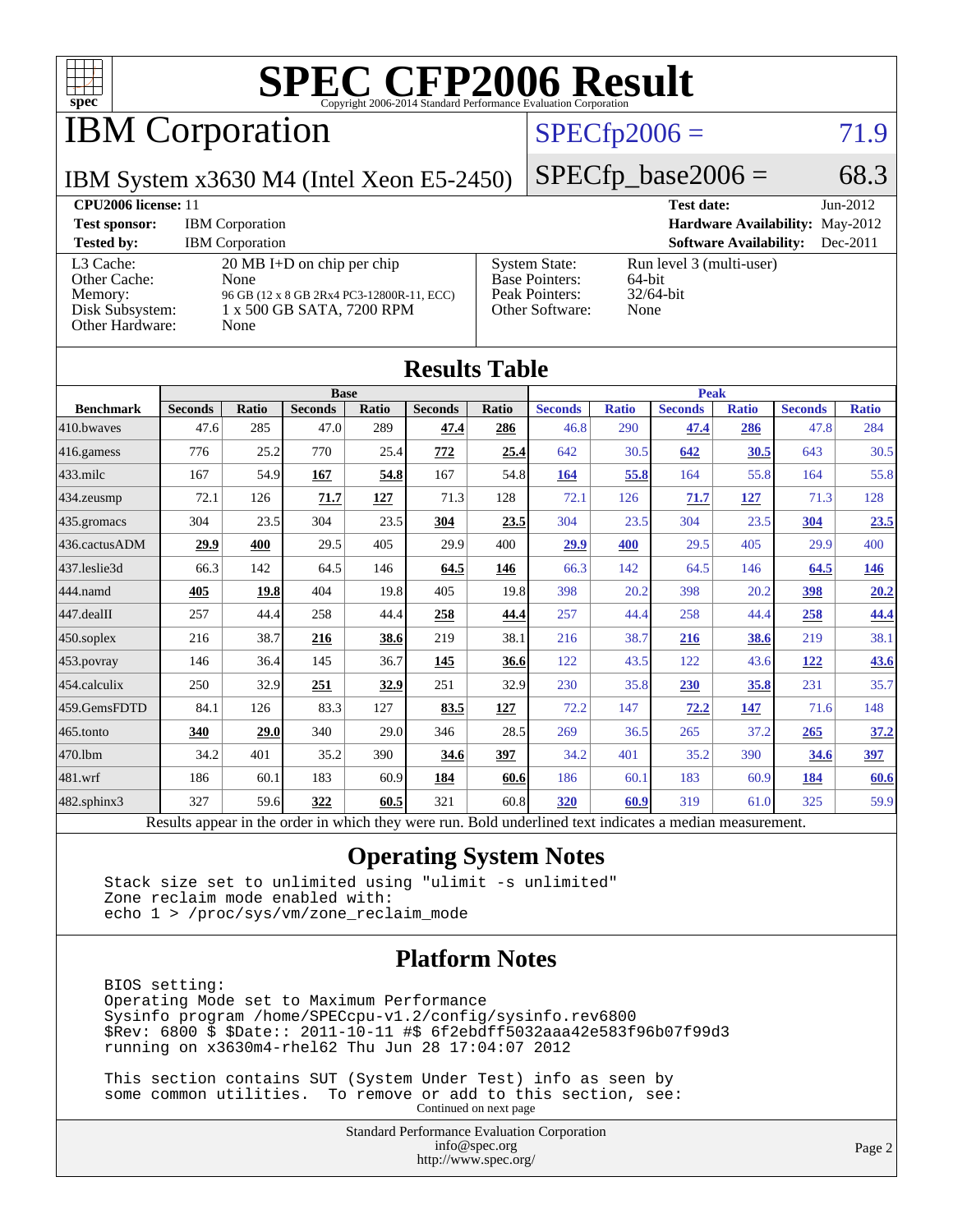

## IBM Corporation

#### $SPECTp2006 = 71.9$

IBM System x3630 M4 (Intel Xeon E5-2450)

 $SPECTp\_base2006 = 68.3$ 

| CPU <sub>2006</sub> license: 11                                            |                                                                                                                                |                                                                                    | <b>Test date:</b>                                          | $Jun-2012$ |
|----------------------------------------------------------------------------|--------------------------------------------------------------------------------------------------------------------------------|------------------------------------------------------------------------------------|------------------------------------------------------------|------------|
| <b>Test sponsor:</b>                                                       | <b>IBM</b> Corporation                                                                                                         | <b>Hardware Availability: May-2012</b>                                             |                                                            |            |
| <b>Tested by:</b>                                                          | <b>IBM</b> Corporation                                                                                                         |                                                                                    | <b>Software Availability:</b>                              | $Dec-2011$ |
| L3 Cache:<br>Other Cache:<br>Memory:<br>Disk Subsystem:<br>Other Hardware: | $20 \text{ MB I+D}$ on chip per chip<br>None<br>96 GB (12 x 8 GB 2Rx4 PC3-12800R-11, ECC)<br>1 x 500 GB SATA, 7200 RPM<br>None | <b>System State:</b><br><b>Base Pointers:</b><br>Peak Pointers:<br>Other Software: | Run level 3 (multi-user)<br>64-bit<br>$32/64$ -bit<br>None |            |

| <b>Results Table</b>                                                                                     |                |                            |                |       |                |       |                |              |                |              |                |              |
|----------------------------------------------------------------------------------------------------------|----------------|----------------------------|----------------|-------|----------------|-------|----------------|--------------|----------------|--------------|----------------|--------------|
|                                                                                                          |                | <b>Peak</b><br><b>Base</b> |                |       |                |       |                |              |                |              |                |              |
| <b>Benchmark</b>                                                                                         | <b>Seconds</b> | Ratio                      | <b>Seconds</b> | Ratio | <b>Seconds</b> | Ratio | <b>Seconds</b> | <b>Ratio</b> | <b>Seconds</b> | <b>Ratio</b> | <b>Seconds</b> | <b>Ratio</b> |
| 410.bwaves                                                                                               | 47.6           | 285                        | 47.0           | 289   | 47.4           | 286   | 46.8           | 290          | 47.4           | 286          | 47.8           | 284          |
| 416.gamess                                                                                               | 776            | 25.2                       | 770            | 25.4  | 772            | 25.4  | 642            | 30.5         | 642            | 30.5         | 643            | 30.5         |
| $433$ .milc                                                                                              | 167            | 54.9                       | 167            | 54.8  | 167            | 54.8  | 164            | 55.8         | 164            | 55.8         | 164            | 55.8         |
| 434.zeusmp                                                                                               | 72.1           | 126                        | 71.7           | 127   | 71.3           | 128   | 72.1           | 126          | 71.7           | 127          | 71.3           | 128          |
| 435.gromacs                                                                                              | 304            | 23.5                       | 304            | 23.5  | 304            | 23.5  | 304            | 23.5         | 304            | 23.5         | 304            | 23.5         |
| 436.cactusADM                                                                                            | 29.9           | 400                        | 29.5           | 405   | 29.9           | 400   | 29.9           | 400          | 29.5           | 405          | 29.9           | 400          |
| 437.leslie3d                                                                                             | 66.3           | 142                        | 64.5           | 146   | 64.5           | 146   | 66.3           | 142          | 64.5           | 146          | 64.5           | 146          |
| 444.namd                                                                                                 | 405            | 19.8                       | 404            | 19.8  | 405            | 19.8  | 398            | 20.2         | 398            | 20.2         | 398            | 20.2         |
| $447$ .dealII                                                                                            | 257            | 44.4                       | 258            | 44.4  | 258            | 44.4  | 257            | 44.4         | 258            | 44.4         | 258            | 44.4         |
| $450$ .soplex                                                                                            | 216            | 38.7                       | 216            | 38.6  | 219            | 38.1  | 216            | 38.7         | 216            | 38.6         | 219            | 38.1         |
| 453.povray                                                                                               | 146            | 36.4                       | 145            | 36.7  | 145            | 36.6  | 122            | 43.5         | 122            | 43.6         | <u>122</u>     | 43.6         |
| $454$ calculix                                                                                           | 250            | 32.9                       | 251            | 32.9  | 251            | 32.9  | 230            | 35.8         | 230            | 35.8         | 231            | 35.7         |
| 459.GemsFDTD                                                                                             | 84.1           | 126                        | 83.3           | 127   | 83.5           | 127   | 72.2           | 147          | 72.2           | 147          | 71.6           | 148          |
| $465$ .tonto                                                                                             | 340            | 29.0                       | 340            | 29.0  | 346            | 28.5  | 269            | 36.5         | 265            | 37.2         | 265            | 37.2         |
| 470.1bm                                                                                                  | 34.2           | 401                        | 35.2           | 390   | 34.6           | 397   | 34.2           | 401          | 35.2           | 390          | 34.6           | 397          |
| 481.wrf                                                                                                  | 186            | 60.1                       | 183            | 60.9  | 184            | 60.6  | 186            | 60.1         | 183            | 60.9         | 184            | 60.6         |
| 482.sphinx3                                                                                              | 327            | 59.6                       | 322            | 60.5  | 321            | 60.8  | 320            | 60.9         | 319            | 61.0         | 325            | 59.9         |
| Results appear in the order in which they were run. Bold underlined text indicates a median measurement. |                |                            |                |       |                |       |                |              |                |              |                |              |

#### **[Operating System Notes](http://www.spec.org/auto/cpu2006/Docs/result-fields.html#OperatingSystemNotes)**

 Stack size set to unlimited using "ulimit -s unlimited" Zone reclaim mode enabled with: echo 1 > /proc/sys/vm/zone\_reclaim\_mode

#### **[Platform Notes](http://www.spec.org/auto/cpu2006/Docs/result-fields.html#PlatformNotes)**

 BIOS setting: Operating Mode set to Maximum Performance Sysinfo program /home/SPECcpu-v1.2/config/sysinfo.rev6800 \$Rev: 6800 \$ \$Date:: 2011-10-11 #\$ 6f2ebdff5032aaa42e583f96b07f99d3 running on x3630m4-rhel62 Thu Jun 28 17:04:07 2012

 This section contains SUT (System Under Test) info as seen by some common utilities. To remove or add to this section, see: Continued on next page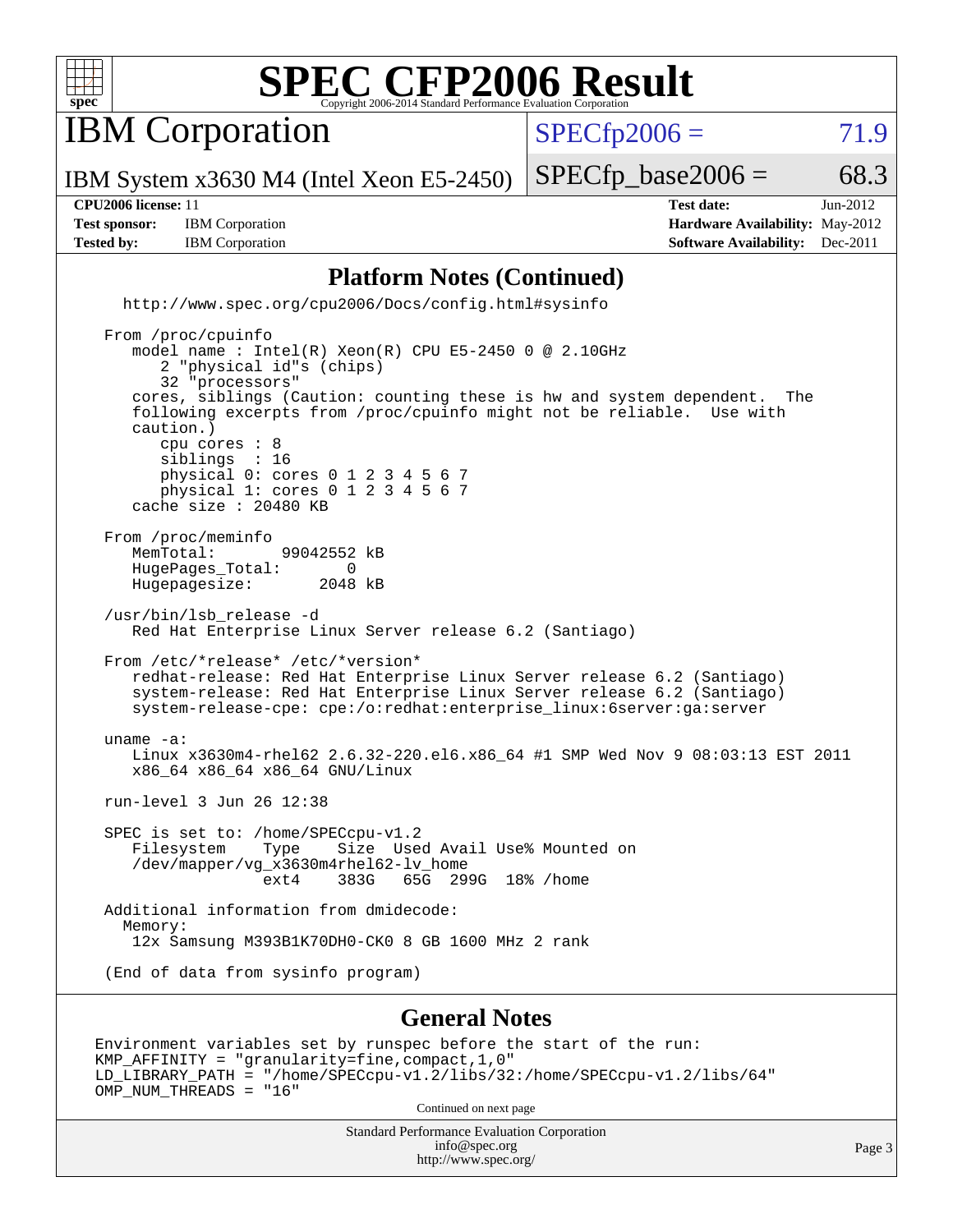

**IBM** Corporation

 $SPECTp2006 = 71.9$ 

IBM System x3630 M4 (Intel Xeon E5-2450)

**[Test sponsor:](http://www.spec.org/auto/cpu2006/Docs/result-fields.html#Testsponsor)** IBM Corporation **[Hardware Availability:](http://www.spec.org/auto/cpu2006/Docs/result-fields.html#HardwareAvailability)** May-2012 **[Tested by:](http://www.spec.org/auto/cpu2006/Docs/result-fields.html#Testedby)** IBM Corporation **[Software Availability:](http://www.spec.org/auto/cpu2006/Docs/result-fields.html#SoftwareAvailability)** Dec-2011

**[CPU2006 license:](http://www.spec.org/auto/cpu2006/Docs/result-fields.html#CPU2006license)** 11 **[Test date:](http://www.spec.org/auto/cpu2006/Docs/result-fields.html#Testdate)** Jun-2012

 $SPECTp\_base2006 = 68.3$ 

#### **[Platform Notes \(Continued\)](http://www.spec.org/auto/cpu2006/Docs/result-fields.html#PlatformNotes)**

 <http://www.spec.org/cpu2006/Docs/config.html#sysinfo> From /proc/cpuinfo model name : Intel(R) Xeon(R) CPU E5-2450 0 @ 2.10GHz 2 "physical id"s (chips) 32 "processors" cores, siblings (Caution: counting these is hw and system dependent. The following excerpts from /proc/cpuinfo might not be reliable. Use with caution.) cpu cores : 8 siblings : 16 physical 0: cores 0 1 2 3 4 5 6 7 physical 1: cores 0 1 2 3 4 5 6 7 cache size : 20480 KB From /proc/meminfo<br>MemTotal: 99042552 kB HugePages\_Total: 0<br>Hugepagesize: 2048 kB Hugepagesize: /usr/bin/lsb\_release -d Red Hat Enterprise Linux Server release 6.2 (Santiago) From /etc/\*release\* /etc/\*version\* redhat-release: Red Hat Enterprise Linux Server release 6.2 (Santiago) system-release: Red Hat Enterprise Linux Server release 6.2 (Santiago) system-release-cpe: cpe:/o:redhat:enterprise\_linux:6server:ga:server uname -a: Linux x3630m4-rhel62 2.6.32-220.el6.x86\_64 #1 SMP Wed Nov 9 08:03:13 EST 2011 x86\_64 x86\_64 x86\_64 GNU/Linux run-level 3 Jun 26 12:38 SPEC is set to: /home/SPECcpu-v1.2 Filesystem Type Size Used Avail Use% Mounted on  $\frac{1}{\text{dev}}$ /mapper/vg\_x3630m4rhel62-lv\_home<br>ext4 383G 65G 29 65G 299G 18% / home Additional information from dmidecode: Memory: 12x Samsung M393B1K70DH0-CK0 8 GB 1600 MHz 2 rank (End of data from sysinfo program)

#### **[General Notes](http://www.spec.org/auto/cpu2006/Docs/result-fields.html#GeneralNotes)**

Environment variables set by runspec before the start of the run: KMP\_AFFINITY = "granularity=fine,compact,1,0" LD\_LIBRARY\_PATH = "/home/SPECcpu-v1.2/libs/32:/home/SPECcpu-v1.2/libs/64" OMP\_NUM\_THREADS = "16"

Continued on next page

Standard Performance Evaluation Corporation [info@spec.org](mailto:info@spec.org) <http://www.spec.org/>

Page 3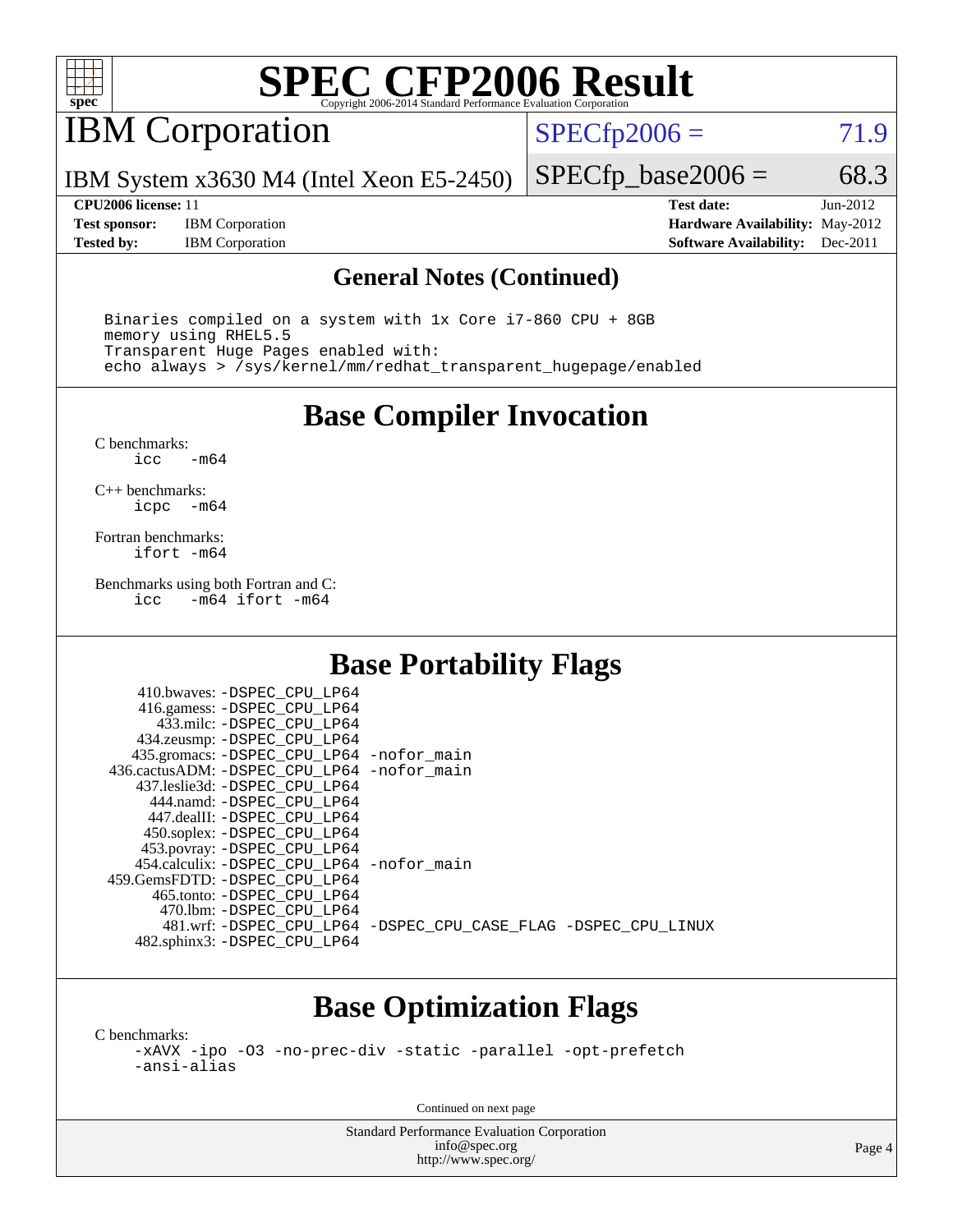

## IBM Corporation

 $SPECTp2006 = 71.9$ 

IBM System x3630 M4 (Intel Xeon E5-2450)

**[Test sponsor:](http://www.spec.org/auto/cpu2006/Docs/result-fields.html#Testsponsor)** IBM Corporation **[Hardware Availability:](http://www.spec.org/auto/cpu2006/Docs/result-fields.html#HardwareAvailability)** May-2012 **[Tested by:](http://www.spec.org/auto/cpu2006/Docs/result-fields.html#Testedby)** IBM Corporation **[Software Availability:](http://www.spec.org/auto/cpu2006/Docs/result-fields.html#SoftwareAvailability)** Dec-2011

 $SPECTp\_base2006 = 68.3$ **[CPU2006 license:](http://www.spec.org/auto/cpu2006/Docs/result-fields.html#CPU2006license)** 11 **[Test date:](http://www.spec.org/auto/cpu2006/Docs/result-fields.html#Testdate)** Jun-2012

#### **[General Notes \(Continued\)](http://www.spec.org/auto/cpu2006/Docs/result-fields.html#GeneralNotes)**

 Binaries compiled on a system with 1x Core i7-860 CPU + 8GB memory using RHEL5.5 Transparent Huge Pages enabled with: echo always > /sys/kernel/mm/redhat\_transparent\_hugepage/enabled

**[Base Compiler Invocation](http://www.spec.org/auto/cpu2006/Docs/result-fields.html#BaseCompilerInvocation)**

[C benchmarks](http://www.spec.org/auto/cpu2006/Docs/result-fields.html#Cbenchmarks):  $-m64$ 

[C++ benchmarks:](http://www.spec.org/auto/cpu2006/Docs/result-fields.html#CXXbenchmarks) [icpc -m64](http://www.spec.org/cpu2006/results/res2012q3/cpu2006-20120710-23562.flags.html#user_CXXbase_intel_icpc_64bit_bedb90c1146cab66620883ef4f41a67e)

[Fortran benchmarks](http://www.spec.org/auto/cpu2006/Docs/result-fields.html#Fortranbenchmarks): [ifort -m64](http://www.spec.org/cpu2006/results/res2012q3/cpu2006-20120710-23562.flags.html#user_FCbase_intel_ifort_64bit_ee9d0fb25645d0210d97eb0527dcc06e)

[Benchmarks using both Fortran and C](http://www.spec.org/auto/cpu2006/Docs/result-fields.html#BenchmarksusingbothFortranandC): [icc -m64](http://www.spec.org/cpu2006/results/res2012q3/cpu2006-20120710-23562.flags.html#user_CC_FCbase_intel_icc_64bit_0b7121f5ab7cfabee23d88897260401c) [ifort -m64](http://www.spec.org/cpu2006/results/res2012q3/cpu2006-20120710-23562.flags.html#user_CC_FCbase_intel_ifort_64bit_ee9d0fb25645d0210d97eb0527dcc06e)

#### **[Base Portability Flags](http://www.spec.org/auto/cpu2006/Docs/result-fields.html#BasePortabilityFlags)**

| 410.bwaves: -DSPEC CPU LP64                 |                                                                |
|---------------------------------------------|----------------------------------------------------------------|
| 416.gamess: -DSPEC_CPU_LP64                 |                                                                |
| 433.milc: -DSPEC CPU LP64                   |                                                                |
| 434.zeusmp: -DSPEC_CPU_LP64                 |                                                                |
| 435.gromacs: -DSPEC_CPU_LP64 -nofor_main    |                                                                |
| 436.cactusADM: -DSPEC CPU LP64 -nofor main  |                                                                |
| 437.leslie3d: -DSPEC CPU LP64               |                                                                |
| 444.namd: -DSPEC CPU LP64                   |                                                                |
| 447.dealII: -DSPEC CPU LP64                 |                                                                |
| 450.soplex: -DSPEC_CPU_LP64                 |                                                                |
| 453.povray: -DSPEC_CPU_LP64                 |                                                                |
| 454.calculix: - DSPEC CPU LP64 - nofor main |                                                                |
| 459.GemsFDTD: -DSPEC CPU LP64               |                                                                |
| 465.tonto: -DSPEC_CPU LP64                  |                                                                |
| 470.1bm: - DSPEC CPU LP64                   |                                                                |
|                                             | 481.wrf: -DSPEC CPU_LP64 -DSPEC_CPU_CASE_FLAG -DSPEC_CPU_LINUX |
| 482.sphinx3: -DSPEC_CPU_LP64                |                                                                |

### **[Base Optimization Flags](http://www.spec.org/auto/cpu2006/Docs/result-fields.html#BaseOptimizationFlags)**

[C benchmarks](http://www.spec.org/auto/cpu2006/Docs/result-fields.html#Cbenchmarks):

[-xAVX](http://www.spec.org/cpu2006/results/res2012q3/cpu2006-20120710-23562.flags.html#user_CCbase_f-xAVX) [-ipo](http://www.spec.org/cpu2006/results/res2012q3/cpu2006-20120710-23562.flags.html#user_CCbase_f-ipo) [-O3](http://www.spec.org/cpu2006/results/res2012q3/cpu2006-20120710-23562.flags.html#user_CCbase_f-O3) [-no-prec-div](http://www.spec.org/cpu2006/results/res2012q3/cpu2006-20120710-23562.flags.html#user_CCbase_f-no-prec-div) [-static](http://www.spec.org/cpu2006/results/res2012q3/cpu2006-20120710-23562.flags.html#user_CCbase_f-static) [-parallel](http://www.spec.org/cpu2006/results/res2012q3/cpu2006-20120710-23562.flags.html#user_CCbase_f-parallel) [-opt-prefetch](http://www.spec.org/cpu2006/results/res2012q3/cpu2006-20120710-23562.flags.html#user_CCbase_f-opt-prefetch) [-ansi-alias](http://www.spec.org/cpu2006/results/res2012q3/cpu2006-20120710-23562.flags.html#user_CCbase_f-ansi-alias)

Continued on next page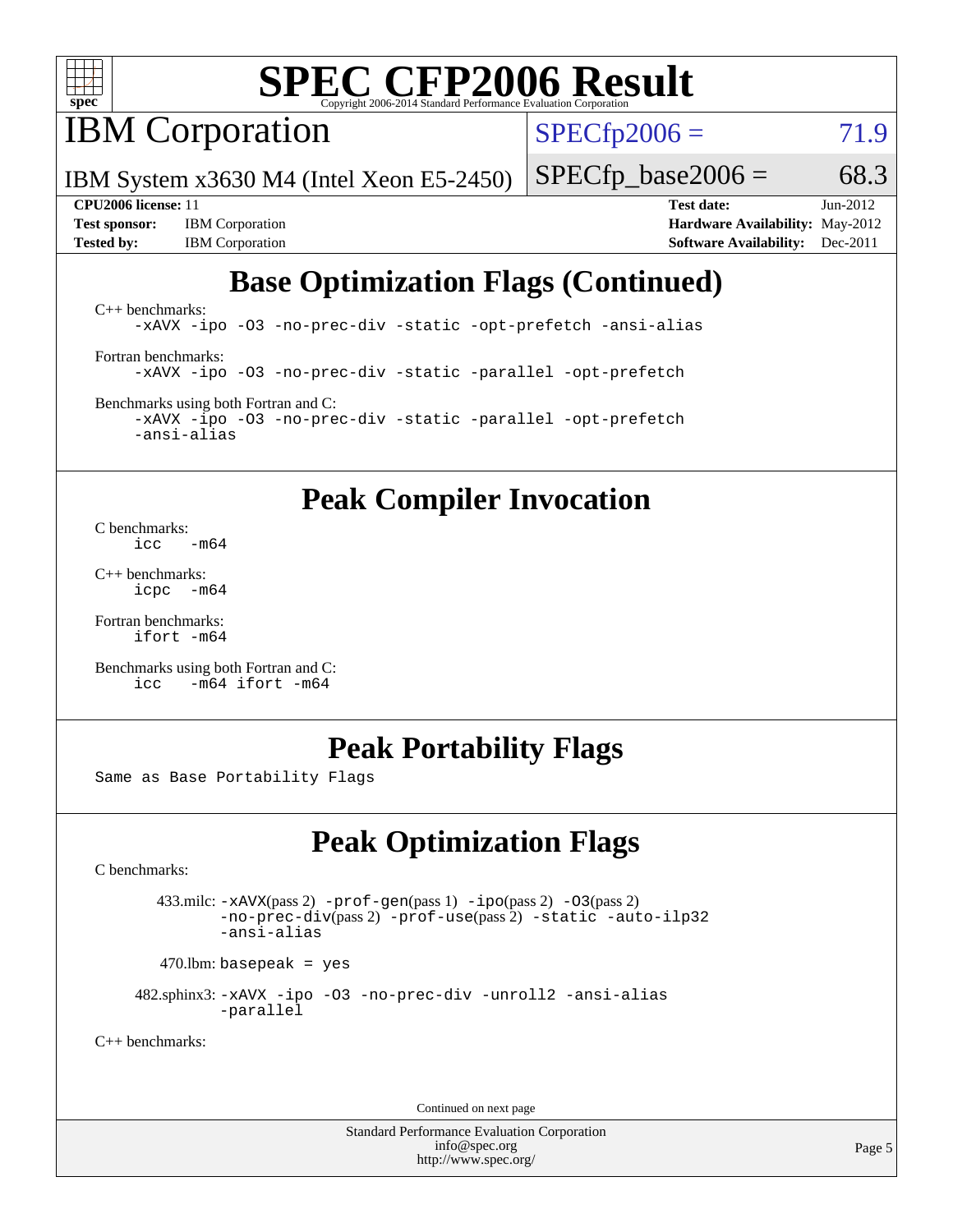

**IBM** Corporation

 $SPECTp2006 = 71.9$ 

IBM System x3630 M4 (Intel Xeon E5-2450)

**[Tested by:](http://www.spec.org/auto/cpu2006/Docs/result-fields.html#Testedby)** IBM Corporation **[Software Availability:](http://www.spec.org/auto/cpu2006/Docs/result-fields.html#SoftwareAvailability)** Dec-2011

 $SPECTp\_base2006 = 68.3$ **[CPU2006 license:](http://www.spec.org/auto/cpu2006/Docs/result-fields.html#CPU2006license)** 11 **[Test date:](http://www.spec.org/auto/cpu2006/Docs/result-fields.html#Testdate)** Jun-2012 **[Test sponsor:](http://www.spec.org/auto/cpu2006/Docs/result-fields.html#Testsponsor)** IBM Corporation **[Hardware Availability:](http://www.spec.org/auto/cpu2006/Docs/result-fields.html#HardwareAvailability)** May-2012

### **[Base Optimization Flags \(Continued\)](http://www.spec.org/auto/cpu2006/Docs/result-fields.html#BaseOptimizationFlags)**

[C++ benchmarks:](http://www.spec.org/auto/cpu2006/Docs/result-fields.html#CXXbenchmarks) [-xAVX](http://www.spec.org/cpu2006/results/res2012q3/cpu2006-20120710-23562.flags.html#user_CXXbase_f-xAVX) [-ipo](http://www.spec.org/cpu2006/results/res2012q3/cpu2006-20120710-23562.flags.html#user_CXXbase_f-ipo) [-O3](http://www.spec.org/cpu2006/results/res2012q3/cpu2006-20120710-23562.flags.html#user_CXXbase_f-O3) [-no-prec-div](http://www.spec.org/cpu2006/results/res2012q3/cpu2006-20120710-23562.flags.html#user_CXXbase_f-no-prec-div) [-static](http://www.spec.org/cpu2006/results/res2012q3/cpu2006-20120710-23562.flags.html#user_CXXbase_f-static) [-opt-prefetch](http://www.spec.org/cpu2006/results/res2012q3/cpu2006-20120710-23562.flags.html#user_CXXbase_f-opt-prefetch) [-ansi-alias](http://www.spec.org/cpu2006/results/res2012q3/cpu2006-20120710-23562.flags.html#user_CXXbase_f-ansi-alias) [Fortran benchmarks](http://www.spec.org/auto/cpu2006/Docs/result-fields.html#Fortranbenchmarks): [-xAVX](http://www.spec.org/cpu2006/results/res2012q3/cpu2006-20120710-23562.flags.html#user_FCbase_f-xAVX) [-ipo](http://www.spec.org/cpu2006/results/res2012q3/cpu2006-20120710-23562.flags.html#user_FCbase_f-ipo) [-O3](http://www.spec.org/cpu2006/results/res2012q3/cpu2006-20120710-23562.flags.html#user_FCbase_f-O3) [-no-prec-div](http://www.spec.org/cpu2006/results/res2012q3/cpu2006-20120710-23562.flags.html#user_FCbase_f-no-prec-div) [-static](http://www.spec.org/cpu2006/results/res2012q3/cpu2006-20120710-23562.flags.html#user_FCbase_f-static) [-parallel](http://www.spec.org/cpu2006/results/res2012q3/cpu2006-20120710-23562.flags.html#user_FCbase_f-parallel) [-opt-prefetch](http://www.spec.org/cpu2006/results/res2012q3/cpu2006-20120710-23562.flags.html#user_FCbase_f-opt-prefetch)

[Benchmarks using both Fortran and C](http://www.spec.org/auto/cpu2006/Docs/result-fields.html#BenchmarksusingbothFortranandC): [-xAVX](http://www.spec.org/cpu2006/results/res2012q3/cpu2006-20120710-23562.flags.html#user_CC_FCbase_f-xAVX) [-ipo](http://www.spec.org/cpu2006/results/res2012q3/cpu2006-20120710-23562.flags.html#user_CC_FCbase_f-ipo) [-O3](http://www.spec.org/cpu2006/results/res2012q3/cpu2006-20120710-23562.flags.html#user_CC_FCbase_f-O3) [-no-prec-div](http://www.spec.org/cpu2006/results/res2012q3/cpu2006-20120710-23562.flags.html#user_CC_FCbase_f-no-prec-div) [-static](http://www.spec.org/cpu2006/results/res2012q3/cpu2006-20120710-23562.flags.html#user_CC_FCbase_f-static) [-parallel](http://www.spec.org/cpu2006/results/res2012q3/cpu2006-20120710-23562.flags.html#user_CC_FCbase_f-parallel) [-opt-prefetch](http://www.spec.org/cpu2006/results/res2012q3/cpu2006-20120710-23562.flags.html#user_CC_FCbase_f-opt-prefetch) [-ansi-alias](http://www.spec.org/cpu2006/results/res2012q3/cpu2006-20120710-23562.flags.html#user_CC_FCbase_f-ansi-alias)

### **[Peak Compiler Invocation](http://www.spec.org/auto/cpu2006/Docs/result-fields.html#PeakCompilerInvocation)**

[C benchmarks](http://www.spec.org/auto/cpu2006/Docs/result-fields.html#Cbenchmarks):  $\frac{1}{2}$ cc  $-\text{m64}$ 

[C++ benchmarks:](http://www.spec.org/auto/cpu2006/Docs/result-fields.html#CXXbenchmarks) [icpc -m64](http://www.spec.org/cpu2006/results/res2012q3/cpu2006-20120710-23562.flags.html#user_CXXpeak_intel_icpc_64bit_bedb90c1146cab66620883ef4f41a67e)

[Fortran benchmarks](http://www.spec.org/auto/cpu2006/Docs/result-fields.html#Fortranbenchmarks): [ifort -m64](http://www.spec.org/cpu2006/results/res2012q3/cpu2006-20120710-23562.flags.html#user_FCpeak_intel_ifort_64bit_ee9d0fb25645d0210d97eb0527dcc06e)

[Benchmarks using both Fortran and C](http://www.spec.org/auto/cpu2006/Docs/result-fields.html#BenchmarksusingbothFortranandC): [icc -m64](http://www.spec.org/cpu2006/results/res2012q3/cpu2006-20120710-23562.flags.html#user_CC_FCpeak_intel_icc_64bit_0b7121f5ab7cfabee23d88897260401c) [ifort -m64](http://www.spec.org/cpu2006/results/res2012q3/cpu2006-20120710-23562.flags.html#user_CC_FCpeak_intel_ifort_64bit_ee9d0fb25645d0210d97eb0527dcc06e)

#### **[Peak Portability Flags](http://www.spec.org/auto/cpu2006/Docs/result-fields.html#PeakPortabilityFlags)**

Same as Base Portability Flags

### **[Peak Optimization Flags](http://www.spec.org/auto/cpu2006/Docs/result-fields.html#PeakOptimizationFlags)**

[C benchmarks](http://www.spec.org/auto/cpu2006/Docs/result-fields.html#Cbenchmarks):

 433.milc: [-xAVX](http://www.spec.org/cpu2006/results/res2012q3/cpu2006-20120710-23562.flags.html#user_peakPASS2_CFLAGSPASS2_LDFLAGS433_milc_f-xAVX)(pass 2) [-prof-gen](http://www.spec.org/cpu2006/results/res2012q3/cpu2006-20120710-23562.flags.html#user_peakPASS1_CFLAGSPASS1_LDFLAGS433_milc_prof_gen_e43856698f6ca7b7e442dfd80e94a8fc)(pass 1) [-ipo](http://www.spec.org/cpu2006/results/res2012q3/cpu2006-20120710-23562.flags.html#user_peakPASS2_CFLAGSPASS2_LDFLAGS433_milc_f-ipo)(pass 2) [-O3](http://www.spec.org/cpu2006/results/res2012q3/cpu2006-20120710-23562.flags.html#user_peakPASS2_CFLAGSPASS2_LDFLAGS433_milc_f-O3)(pass 2) [-no-prec-div](http://www.spec.org/cpu2006/results/res2012q3/cpu2006-20120710-23562.flags.html#user_peakPASS2_CFLAGSPASS2_LDFLAGS433_milc_f-no-prec-div)(pass 2) [-prof-use](http://www.spec.org/cpu2006/results/res2012q3/cpu2006-20120710-23562.flags.html#user_peakPASS2_CFLAGSPASS2_LDFLAGS433_milc_prof_use_bccf7792157ff70d64e32fe3e1250b55)(pass 2) [-static](http://www.spec.org/cpu2006/results/res2012q3/cpu2006-20120710-23562.flags.html#user_peakOPTIMIZE433_milc_f-static) [-auto-ilp32](http://www.spec.org/cpu2006/results/res2012q3/cpu2006-20120710-23562.flags.html#user_peakCOPTIMIZE433_milc_f-auto-ilp32) [-ansi-alias](http://www.spec.org/cpu2006/results/res2012q3/cpu2006-20120710-23562.flags.html#user_peakCOPTIMIZE433_milc_f-ansi-alias)

 $470.$ lbm: basepeak = yes

 482.sphinx3: [-xAVX](http://www.spec.org/cpu2006/results/res2012q3/cpu2006-20120710-23562.flags.html#user_peakOPTIMIZE482_sphinx3_f-xAVX) [-ipo](http://www.spec.org/cpu2006/results/res2012q3/cpu2006-20120710-23562.flags.html#user_peakOPTIMIZE482_sphinx3_f-ipo) [-O3](http://www.spec.org/cpu2006/results/res2012q3/cpu2006-20120710-23562.flags.html#user_peakOPTIMIZE482_sphinx3_f-O3) [-no-prec-div](http://www.spec.org/cpu2006/results/res2012q3/cpu2006-20120710-23562.flags.html#user_peakOPTIMIZE482_sphinx3_f-no-prec-div) [-unroll2](http://www.spec.org/cpu2006/results/res2012q3/cpu2006-20120710-23562.flags.html#user_peakCOPTIMIZE482_sphinx3_f-unroll_784dae83bebfb236979b41d2422d7ec2) [-ansi-alias](http://www.spec.org/cpu2006/results/res2012q3/cpu2006-20120710-23562.flags.html#user_peakCOPTIMIZE482_sphinx3_f-ansi-alias) [-parallel](http://www.spec.org/cpu2006/results/res2012q3/cpu2006-20120710-23562.flags.html#user_peakCOPTIMIZE482_sphinx3_f-parallel)

[C++ benchmarks:](http://www.spec.org/auto/cpu2006/Docs/result-fields.html#CXXbenchmarks)

Continued on next page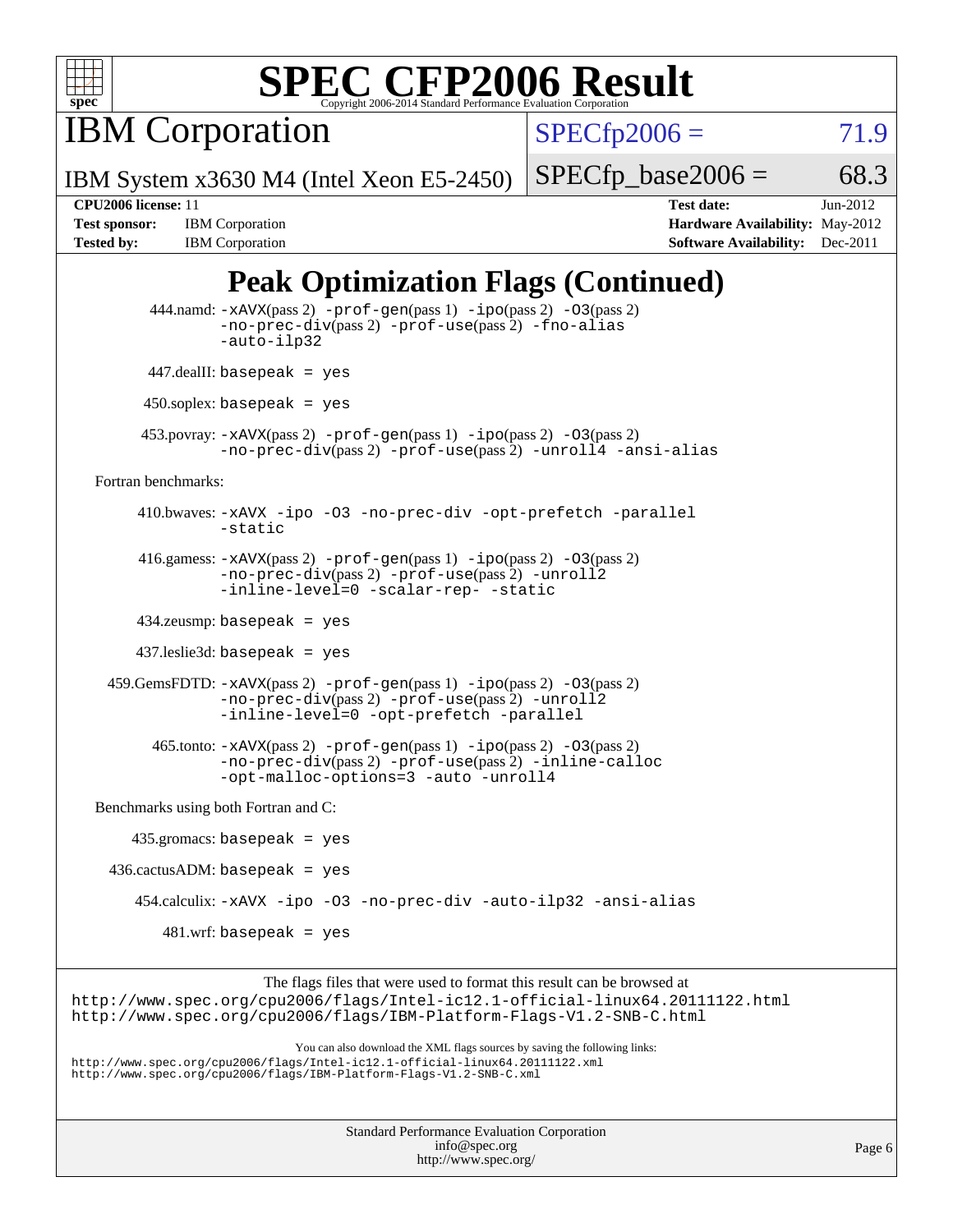

IBM Corporation

 $SPECTp2006 = 71.9$ 

IBM System x3630 M4 (Intel Xeon E5-2450)

 $SPECTp\_base2006 = 68.3$ 

**[Tested by:](http://www.spec.org/auto/cpu2006/Docs/result-fields.html#Testedby)** IBM Corporation **[Software Availability:](http://www.spec.org/auto/cpu2006/Docs/result-fields.html#SoftwareAvailability)** Dec-2011

**[CPU2006 license:](http://www.spec.org/auto/cpu2006/Docs/result-fields.html#CPU2006license)** 11 **[Test date:](http://www.spec.org/auto/cpu2006/Docs/result-fields.html#Testdate)** Jun-2012 **[Test sponsor:](http://www.spec.org/auto/cpu2006/Docs/result-fields.html#Testsponsor)** IBM Corporation **[Hardware Availability:](http://www.spec.org/auto/cpu2006/Docs/result-fields.html#HardwareAvailability)** May-2012

### **[Peak Optimization Flags \(Continued\)](http://www.spec.org/auto/cpu2006/Docs/result-fields.html#PeakOptimizationFlags)**

 444.namd: [-xAVX](http://www.spec.org/cpu2006/results/res2012q3/cpu2006-20120710-23562.flags.html#user_peakPASS2_CXXFLAGSPASS2_LDFLAGS444_namd_f-xAVX)(pass 2) [-prof-gen](http://www.spec.org/cpu2006/results/res2012q3/cpu2006-20120710-23562.flags.html#user_peakPASS1_CXXFLAGSPASS1_LDFLAGS444_namd_prof_gen_e43856698f6ca7b7e442dfd80e94a8fc)(pass 1) [-ipo](http://www.spec.org/cpu2006/results/res2012q3/cpu2006-20120710-23562.flags.html#user_peakPASS2_CXXFLAGSPASS2_LDFLAGS444_namd_f-ipo)(pass 2) [-O3](http://www.spec.org/cpu2006/results/res2012q3/cpu2006-20120710-23562.flags.html#user_peakPASS2_CXXFLAGSPASS2_LDFLAGS444_namd_f-O3)(pass 2) [-no-prec-div](http://www.spec.org/cpu2006/results/res2012q3/cpu2006-20120710-23562.flags.html#user_peakPASS2_CXXFLAGSPASS2_LDFLAGS444_namd_f-no-prec-div)(pass 2) [-prof-use](http://www.spec.org/cpu2006/results/res2012q3/cpu2006-20120710-23562.flags.html#user_peakPASS2_CXXFLAGSPASS2_LDFLAGS444_namd_prof_use_bccf7792157ff70d64e32fe3e1250b55)(pass 2) [-fno-alias](http://www.spec.org/cpu2006/results/res2012q3/cpu2006-20120710-23562.flags.html#user_peakCXXOPTIMIZEOPTIMIZE444_namd_f-no-alias_694e77f6c5a51e658e82ccff53a9e63a) [-auto-ilp32](http://www.spec.org/cpu2006/results/res2012q3/cpu2006-20120710-23562.flags.html#user_peakCXXOPTIMIZE444_namd_f-auto-ilp32) 447.dealII: basepeak = yes 450.soplex: basepeak = yes 453.povray: [-xAVX](http://www.spec.org/cpu2006/results/res2012q3/cpu2006-20120710-23562.flags.html#user_peakPASS2_CXXFLAGSPASS2_LDFLAGS453_povray_f-xAVX)(pass 2) [-prof-gen](http://www.spec.org/cpu2006/results/res2012q3/cpu2006-20120710-23562.flags.html#user_peakPASS1_CXXFLAGSPASS1_LDFLAGS453_povray_prof_gen_e43856698f6ca7b7e442dfd80e94a8fc)(pass 1) [-ipo](http://www.spec.org/cpu2006/results/res2012q3/cpu2006-20120710-23562.flags.html#user_peakPASS2_CXXFLAGSPASS2_LDFLAGS453_povray_f-ipo)(pass 2) [-O3](http://www.spec.org/cpu2006/results/res2012q3/cpu2006-20120710-23562.flags.html#user_peakPASS2_CXXFLAGSPASS2_LDFLAGS453_povray_f-O3)(pass 2) [-no-prec-div](http://www.spec.org/cpu2006/results/res2012q3/cpu2006-20120710-23562.flags.html#user_peakPASS2_CXXFLAGSPASS2_LDFLAGS453_povray_f-no-prec-div)(pass 2) [-prof-use](http://www.spec.org/cpu2006/results/res2012q3/cpu2006-20120710-23562.flags.html#user_peakPASS2_CXXFLAGSPASS2_LDFLAGS453_povray_prof_use_bccf7792157ff70d64e32fe3e1250b55)(pass 2) [-unroll4](http://www.spec.org/cpu2006/results/res2012q3/cpu2006-20120710-23562.flags.html#user_peakCXXOPTIMIZE453_povray_f-unroll_4e5e4ed65b7fd20bdcd365bec371b81f) [-ansi-alias](http://www.spec.org/cpu2006/results/res2012q3/cpu2006-20120710-23562.flags.html#user_peakCXXOPTIMIZE453_povray_f-ansi-alias) [Fortran benchmarks](http://www.spec.org/auto/cpu2006/Docs/result-fields.html#Fortranbenchmarks): 410.bwaves: [-xAVX](http://www.spec.org/cpu2006/results/res2012q3/cpu2006-20120710-23562.flags.html#user_peakOPTIMIZE410_bwaves_f-xAVX) [-ipo](http://www.spec.org/cpu2006/results/res2012q3/cpu2006-20120710-23562.flags.html#user_peakOPTIMIZE410_bwaves_f-ipo) [-O3](http://www.spec.org/cpu2006/results/res2012q3/cpu2006-20120710-23562.flags.html#user_peakOPTIMIZE410_bwaves_f-O3) [-no-prec-div](http://www.spec.org/cpu2006/results/res2012q3/cpu2006-20120710-23562.flags.html#user_peakOPTIMIZE410_bwaves_f-no-prec-div) [-opt-prefetch](http://www.spec.org/cpu2006/results/res2012q3/cpu2006-20120710-23562.flags.html#user_peakOPTIMIZE410_bwaves_f-opt-prefetch) [-parallel](http://www.spec.org/cpu2006/results/res2012q3/cpu2006-20120710-23562.flags.html#user_peakOPTIMIZE410_bwaves_f-parallel) [-static](http://www.spec.org/cpu2006/results/res2012q3/cpu2006-20120710-23562.flags.html#user_peakOPTIMIZE410_bwaves_f-static) 416.gamess: [-xAVX](http://www.spec.org/cpu2006/results/res2012q3/cpu2006-20120710-23562.flags.html#user_peakPASS2_FFLAGSPASS2_LDFLAGS416_gamess_f-xAVX)(pass 2) [-prof-gen](http://www.spec.org/cpu2006/results/res2012q3/cpu2006-20120710-23562.flags.html#user_peakPASS1_FFLAGSPASS1_LDFLAGS416_gamess_prof_gen_e43856698f6ca7b7e442dfd80e94a8fc)(pass 1) [-ipo](http://www.spec.org/cpu2006/results/res2012q3/cpu2006-20120710-23562.flags.html#user_peakPASS2_FFLAGSPASS2_LDFLAGS416_gamess_f-ipo)(pass 2) [-O3](http://www.spec.org/cpu2006/results/res2012q3/cpu2006-20120710-23562.flags.html#user_peakPASS2_FFLAGSPASS2_LDFLAGS416_gamess_f-O3)(pass 2) [-no-prec-div](http://www.spec.org/cpu2006/results/res2012q3/cpu2006-20120710-23562.flags.html#user_peakPASS2_FFLAGSPASS2_LDFLAGS416_gamess_f-no-prec-div)(pass 2) [-prof-use](http://www.spec.org/cpu2006/results/res2012q3/cpu2006-20120710-23562.flags.html#user_peakPASS2_FFLAGSPASS2_LDFLAGS416_gamess_prof_use_bccf7792157ff70d64e32fe3e1250b55)(pass 2) [-unroll2](http://www.spec.org/cpu2006/results/res2012q3/cpu2006-20120710-23562.flags.html#user_peakOPTIMIZE416_gamess_f-unroll_784dae83bebfb236979b41d2422d7ec2) [-inline-level=0](http://www.spec.org/cpu2006/results/res2012q3/cpu2006-20120710-23562.flags.html#user_peakOPTIMIZE416_gamess_f-inline-level_318d07a09274ad25e8d15dbfaa68ba50) [-scalar-rep-](http://www.spec.org/cpu2006/results/res2012q3/cpu2006-20120710-23562.flags.html#user_peakOPTIMIZE416_gamess_f-disablescalarrep_abbcad04450fb118e4809c81d83c8a1d) [-static](http://www.spec.org/cpu2006/results/res2012q3/cpu2006-20120710-23562.flags.html#user_peakOPTIMIZE416_gamess_f-static) 434.zeusmp: basepeak = yes 437.leslie3d: basepeak = yes 459.GemsFDTD: [-xAVX](http://www.spec.org/cpu2006/results/res2012q3/cpu2006-20120710-23562.flags.html#user_peakPASS2_FFLAGSPASS2_LDFLAGS459_GemsFDTD_f-xAVX)(pass 2) [-prof-gen](http://www.spec.org/cpu2006/results/res2012q3/cpu2006-20120710-23562.flags.html#user_peakPASS1_FFLAGSPASS1_LDFLAGS459_GemsFDTD_prof_gen_e43856698f6ca7b7e442dfd80e94a8fc)(pass 1) [-ipo](http://www.spec.org/cpu2006/results/res2012q3/cpu2006-20120710-23562.flags.html#user_peakPASS2_FFLAGSPASS2_LDFLAGS459_GemsFDTD_f-ipo)(pass 2) [-O3](http://www.spec.org/cpu2006/results/res2012q3/cpu2006-20120710-23562.flags.html#user_peakPASS2_FFLAGSPASS2_LDFLAGS459_GemsFDTD_f-O3)(pass 2) [-no-prec-div](http://www.spec.org/cpu2006/results/res2012q3/cpu2006-20120710-23562.flags.html#user_peakPASS2_FFLAGSPASS2_LDFLAGS459_GemsFDTD_f-no-prec-div)(pass 2) [-prof-use](http://www.spec.org/cpu2006/results/res2012q3/cpu2006-20120710-23562.flags.html#user_peakPASS2_FFLAGSPASS2_LDFLAGS459_GemsFDTD_prof_use_bccf7792157ff70d64e32fe3e1250b55)(pass 2) [-unroll2](http://www.spec.org/cpu2006/results/res2012q3/cpu2006-20120710-23562.flags.html#user_peakOPTIMIZE459_GemsFDTD_f-unroll_784dae83bebfb236979b41d2422d7ec2) [-inline-level=0](http://www.spec.org/cpu2006/results/res2012q3/cpu2006-20120710-23562.flags.html#user_peakOPTIMIZE459_GemsFDTD_f-inline-level_318d07a09274ad25e8d15dbfaa68ba50) [-opt-prefetch](http://www.spec.org/cpu2006/results/res2012q3/cpu2006-20120710-23562.flags.html#user_peakOPTIMIZE459_GemsFDTD_f-opt-prefetch) [-parallel](http://www.spec.org/cpu2006/results/res2012q3/cpu2006-20120710-23562.flags.html#user_peakOPTIMIZE459_GemsFDTD_f-parallel) 465.tonto: [-xAVX](http://www.spec.org/cpu2006/results/res2012q3/cpu2006-20120710-23562.flags.html#user_peakPASS2_FFLAGSPASS2_LDFLAGS465_tonto_f-xAVX)(pass 2) [-prof-gen](http://www.spec.org/cpu2006/results/res2012q3/cpu2006-20120710-23562.flags.html#user_peakPASS1_FFLAGSPASS1_LDFLAGS465_tonto_prof_gen_e43856698f6ca7b7e442dfd80e94a8fc)(pass 1) [-ipo](http://www.spec.org/cpu2006/results/res2012q3/cpu2006-20120710-23562.flags.html#user_peakPASS2_FFLAGSPASS2_LDFLAGS465_tonto_f-ipo)(pass 2) [-O3](http://www.spec.org/cpu2006/results/res2012q3/cpu2006-20120710-23562.flags.html#user_peakPASS2_FFLAGSPASS2_LDFLAGS465_tonto_f-O3)(pass 2) [-no-prec-div](http://www.spec.org/cpu2006/results/res2012q3/cpu2006-20120710-23562.flags.html#user_peakPASS2_FFLAGSPASS2_LDFLAGS465_tonto_f-no-prec-div)(pass 2) [-prof-use](http://www.spec.org/cpu2006/results/res2012q3/cpu2006-20120710-23562.flags.html#user_peakPASS2_FFLAGSPASS2_LDFLAGS465_tonto_prof_use_bccf7792157ff70d64e32fe3e1250b55)(pass 2) [-inline-calloc](http://www.spec.org/cpu2006/results/res2012q3/cpu2006-20120710-23562.flags.html#user_peakOPTIMIZE465_tonto_f-inline-calloc) [-opt-malloc-options=3](http://www.spec.org/cpu2006/results/res2012q3/cpu2006-20120710-23562.flags.html#user_peakOPTIMIZE465_tonto_f-opt-malloc-options_13ab9b803cf986b4ee62f0a5998c2238) [-auto](http://www.spec.org/cpu2006/results/res2012q3/cpu2006-20120710-23562.flags.html#user_peakOPTIMIZE465_tonto_f-auto) [-unroll4](http://www.spec.org/cpu2006/results/res2012q3/cpu2006-20120710-23562.flags.html#user_peakOPTIMIZE465_tonto_f-unroll_4e5e4ed65b7fd20bdcd365bec371b81f) [Benchmarks using both Fortran and C](http://www.spec.org/auto/cpu2006/Docs/result-fields.html#BenchmarksusingbothFortranandC): 435.gromacs: basepeak = yes  $436$ .cactusADM: basepeak = yes 454.calculix: [-xAVX](http://www.spec.org/cpu2006/results/res2012q3/cpu2006-20120710-23562.flags.html#user_peakOPTIMIZE454_calculix_f-xAVX) [-ipo](http://www.spec.org/cpu2006/results/res2012q3/cpu2006-20120710-23562.flags.html#user_peakOPTIMIZE454_calculix_f-ipo) [-O3](http://www.spec.org/cpu2006/results/res2012q3/cpu2006-20120710-23562.flags.html#user_peakOPTIMIZE454_calculix_f-O3) [-no-prec-div](http://www.spec.org/cpu2006/results/res2012q3/cpu2006-20120710-23562.flags.html#user_peakOPTIMIZE454_calculix_f-no-prec-div) [-auto-ilp32](http://www.spec.org/cpu2006/results/res2012q3/cpu2006-20120710-23562.flags.html#user_peakCOPTIMIZE454_calculix_f-auto-ilp32) [-ansi-alias](http://www.spec.org/cpu2006/results/res2012q3/cpu2006-20120710-23562.flags.html#user_peakCOPTIMIZE454_calculix_f-ansi-alias) 481.wrf: basepeak = yes The flags files that were used to format this result can be browsed at <http://www.spec.org/cpu2006/flags/Intel-ic12.1-official-linux64.20111122.html> <http://www.spec.org/cpu2006/flags/IBM-Platform-Flags-V1.2-SNB-C.html> You can also download the XML flags sources by saving the following links: <http://www.spec.org/cpu2006/flags/Intel-ic12.1-official-linux64.20111122.xml> <http://www.spec.org/cpu2006/flags/IBM-Platform-Flags-V1.2-SNB-C.xml>